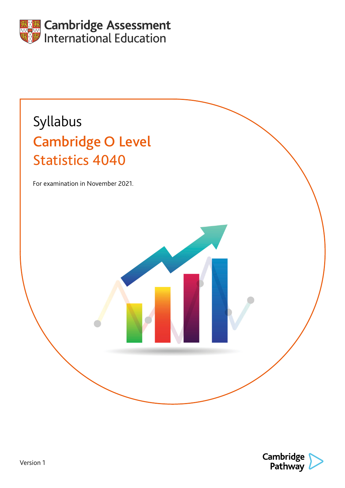

# Syllabus Cambridge O Level Statistics 4040

For examination in November 2021.

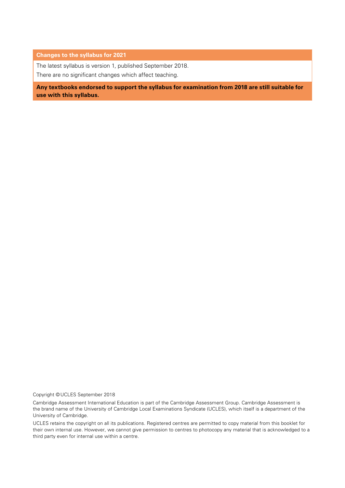#### **Changes to the syllabus for 2021**

The latest syllabus is version 1, published September 2018.

There are no significant changes which affect teaching.

**Any textbooks endorsed to support the syllabus for examination from 2018 are still suitable for use with this syllabus.**

Copyright © UCLES September 2018

Cambridge Assessment International Education is part of the Cambridge Assessment Group. Cambridge Assessment is the brand name of the University of Cambridge Local Examinations Syndicate (UCLES), which itself is a department of the University of Cambridge.

UCLES retains the copyright on all its publications. Registered centres are permitted to copy material from this booklet for their own internal use. However, we cannot give permission to centres to photocopy any material that is acknowledged to a third party even for internal use within a centre.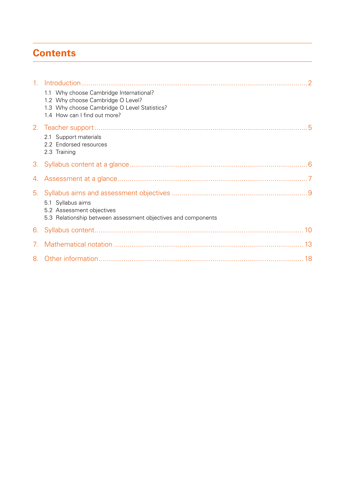# **Contents**

| 1 <sub>1</sub> | 1.1 Why choose Cambridge International?<br>1.2 Why choose Cambridge O Level?<br>1.3 Why choose Cambridge O Level Statistics?<br>1.4 How can I find out more? |
|----------------|--------------------------------------------------------------------------------------------------------------------------------------------------------------|
|                | 2.1 Support materials<br>2.2 Endorsed resources<br>2.3 Training                                                                                              |
| 3.             |                                                                                                                                                              |
|                |                                                                                                                                                              |
|                | 5.1 Syllabus aims<br>5.2 Assessment objectives<br>5.3 Relationship between assessment objectives and components                                              |
| 6.             |                                                                                                                                                              |
| 7.             |                                                                                                                                                              |
|                |                                                                                                                                                              |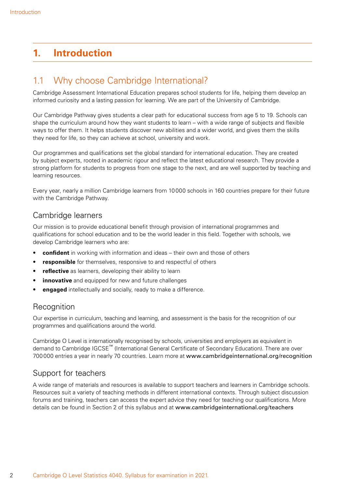# <span id="page-3-0"></span>**1. Introduction**

### 1.1 Why choose Cambridge International?

Cambridge Assessment International Education prepares school students for life, helping them develop an informed curiosity and a lasting passion for learning. We are part of the University of Cambridge.

Our Cambridge Pathway gives students a clear path for educational success from age 5 to 19. Schools can shape the curriculum around how they want students to learn – with a wide range of subjects and flexible ways to offer them. It helps students discover new abilities and a wider world, and gives them the skills they need for life, so they can achieve at school, university and work.

Our programmes and qualifications set the global standard for international education. They are created by subject experts, rooted in academic rigour and reflect the latest educational research. They provide a strong platform for students to progress from one stage to the next, and are well supported by teaching and learning resources.

Every year, nearly a million Cambridge learners from 10000 schools in 160 countries prepare for their future with the Cambridge Pathway.

#### Cambridge learners

Our mission is to provide educational benefit through provision of international programmes and qualifications for school education and to be the world leader in this field. Together with schools, we develop Cambridge learners who are:

- **confident** in working with information and ideas their own and those of others
- **responsible** for themselves, responsive to and respectful of others
- **reflective** as learners, developing their ability to learn
- **innovative** and equipped for new and future challenges
- **engaged** intellectually and socially, ready to make a difference.

#### **Recognition**

Our expertise in curriculum, teaching and learning, and assessment is the basis for the recognition of our programmes and qualifications around the world.

Cambridge O Level is internationally recognised by schools, universities and employers as equivalent in demand to Cambridge IGCSE™ (International General Certificate of Secondary Education). There are over 700000 entries a year in nearly 70 countries. Learn more at www.cambridgeinternational.org/recognition

### Support for teachers

A wide range of materials and resources is available to support teachers and learners in Cambridge schools. Resources suit a variety of teaching methods in different international contexts. Through subject discussion forums and training, teachers can access the expert advice they need for teaching our qualifications. More details can be found in Section 2 of this syllabus and at www.cambridgeinternational.org/teachers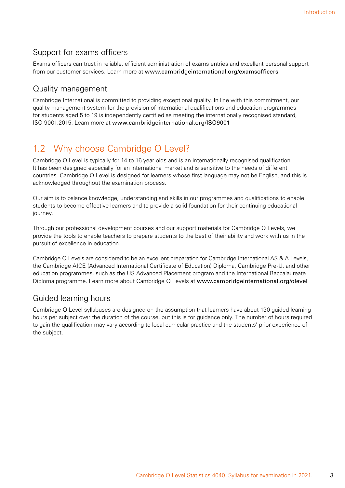### <span id="page-4-0"></span>Support for exams officers

Exams officers can trust in reliable, efficient administration of exams entries and excellent personal support from our customer services. Learn more at www.cambridgeinternational.org/examsofficers

### Quality management

Cambridge International is committed to providing exceptional quality. In line with this commitment, our quality management system for the provision of international qualifications and education programmes for students aged 5 to 19 is independently certified as meeting the internationally recognised standard, ISO 9001:2015. Learn more at www.cambridgeinternational.org/ISO9001

# 1.2 Why choose Cambridge O Level?

Cambridge O Level is typically for 14 to 16 year olds and is an internationally recognised qualification. It has been designed especially for an international market and is sensitive to the needs of different countries. Cambridge O Level is designed for learners whose first language may not be English, and this is acknowledged throughout the examination process.

Our aim is to balance knowledge, understanding and skills in our programmes and qualifications to enable students to become effective learners and to provide a solid foundation for their continuing educational journey.

Through our professional development courses and our support materials for Cambridge O Levels, we provide the tools to enable teachers to prepare students to the best of their ability and work with us in the pursuit of excellence in education.

Cambridge O Levels are considered to be an excellent preparation for Cambridge International AS & A Levels, the Cambridge AICE (Advanced International Certificate of Education) Diploma, Cambridge Pre-U, and other education programmes, such as the US Advanced Placement program and the International Baccalaureate Diploma programme. Learn more about Cambridge O Levels at www.cambridgeinternational.org/olevel

### Guided learning hours

Cambridge O Level syllabuses are designed on the assumption that learners have about 130 guided learning hours per subject over the duration of the course, but this is for guidance only. The number of hours required to gain the qualification may vary according to local curricular practice and the students' prior experience of the subject.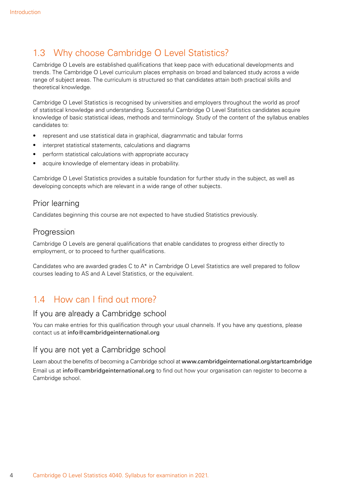# <span id="page-5-0"></span>1.3 Why choose Cambridge O Level Statistics?

Cambridge O Levels are established qualifications that keep pace with educational developments and trends. The Cambridge O Level curriculum places emphasis on broad and balanced study across a wide range of subject areas. The curriculum is structured so that candidates attain both practical skills and theoretical knowledge.

Cambridge O Level Statistics is recognised by universities and employers throughout the world as proof of statistical knowledge and understanding. Successful Cambridge O Level Statistics candidates acquire knowledge of basic statistical ideas, methods and terminology. Study of the content of the syllabus enables candidates to:

- represent and use statistical data in graphical, diagrammatic and tabular forms
- interpret statistical statements, calculations and diagrams
- perform statistical calculations with appropriate accuracy
- acquire knowledge of elementary ideas in probability.

Cambridge O Level Statistics provides a suitable foundation for further study in the subject, as well as developing concepts which are relevant in a wide range of other subjects.

#### Prior learning

Candidates beginning this course are not expected to have studied Statistics previously.

#### **Progression**

Cambridge O Levels are general qualifications that enable candidates to progress either directly to employment, or to proceed to further qualifications.

Candidates who are awarded grades C to A\* in Cambridge O Level Statistics are well prepared to follow courses leading to AS and A Level Statistics, or the equivalent.

# 1.4 How can I find out more?

#### If you are already a Cambridge school

You can make entries for this qualification through your usual channels. If you have any questions, please contact us at info@cambridgeinternational.org

### If you are not yet a Cambridge school

Learn about the benefits of becoming a Cambridge school at www.cambridgeinternational.org/startcambridge Email us at info@cambridgeinternational.org to find out how your organisation can register to become a Cambridge school.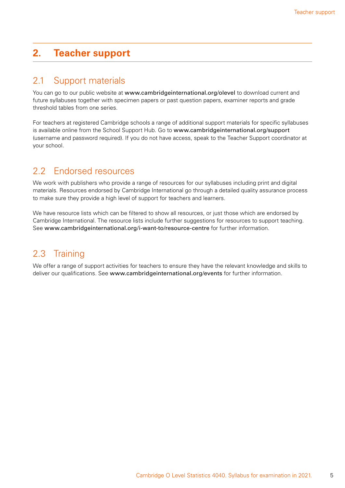### <span id="page-6-0"></span>**2. Teacher support**

### 2.1 Support materials

You can go to our public website at www.cambridgeinternational.org/olevel to download current and future syllabuses together with specimen papers or past question papers, examiner reports and grade threshold tables from one series.

For teachers at registered Cambridge schools a range of additional support materials for specific syllabuses is available online from the School Support Hub. Go to www.cambridgeinternational.org/support (username and password required). If you do not have access, speak to the Teacher Support coordinator at your school.

### 2.2 Endorsed resources

We work with publishers who provide a range of resources for our syllabuses including print and digital materials. Resources endorsed by Cambridge International go through a detailed quality assurance process to make sure they provide a high level of support for teachers and learners.

We have resource lists which can be filtered to show all resources, or just those which are endorsed by Cambridge International. The resource lists include further suggestions for resources to support teaching. See www.cambridgeinternational.org/i-want-to/resource-centre for further information.

# 2.3 Training

We offer a range of support activities for teachers to ensure they have the relevant knowledge and skills to deliver our qualifications. See www.cambridgeinternational.org/events for further information.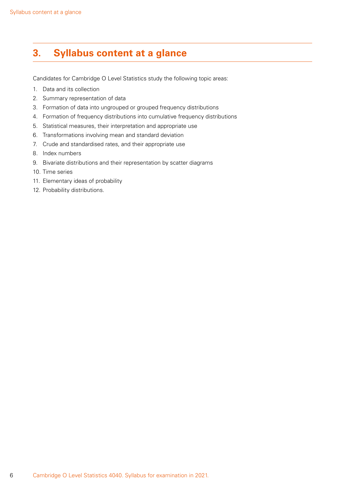# <span id="page-7-0"></span>**3. Syllabus content at a glance**

Candidates for Cambridge O Level Statistics study the following topic areas:

- 1. Data and its collection
- 2. Summary representation of data
- 3. Formation of data into ungrouped or grouped frequency distributions
- 4. Formation of frequency distributions into cumulative frequency distributions
- 5. Statistical measures, their interpretation and appropriate use
- 6. Transformations involving mean and standard deviation
- 7. Crude and standardised rates, and their appropriate use
- 8. Index numbers
- 9. Bivariate distributions and their representation by scatter diagrams
- 10. Time series
- 11. Elementary ideas of probability
- 12. Probability distributions.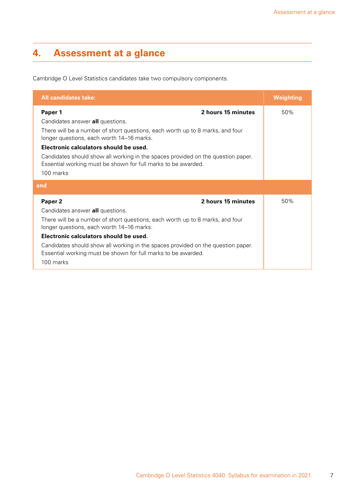# <span id="page-8-0"></span>**4. Assessment at a glance**

Cambridge O Level Statistics candidates take two compulsory components.

| <b>All candidates take:</b>                                                                                                                                    | Weighting |  |
|----------------------------------------------------------------------------------------------------------------------------------------------------------------|-----------|--|
| 2 hours 15 minutes<br>Paper 1                                                                                                                                  | 50%       |  |
| Candidates answer all questions.                                                                                                                               |           |  |
| There will be a number of short questions, each worth up to 8 marks, and four<br>longer questions, each worth 14–16 marks.                                     |           |  |
| Electronic calculators should be used.                                                                                                                         |           |  |
| Candidates should show all working in the spaces provided on the question paper.<br>Essential working must be shown for full marks to be awarded.              |           |  |
| 100 marks                                                                                                                                                      |           |  |
| and                                                                                                                                                            |           |  |
| 2 hours 15 minutes<br>Paper <sub>2</sub>                                                                                                                       | 50%       |  |
| Candidates answer all questions.                                                                                                                               |           |  |
| There will be a number of short questions, each worth up to 8 marks, and four<br>longer questions, each worth 14–16 marks.                                     |           |  |
| Electronic calculators should be used.                                                                                                                         |           |  |
| Candidates should show all working in the spaces provided on the question paper.<br>Essential working must be shown for full marks to be awarded.<br>100 marks |           |  |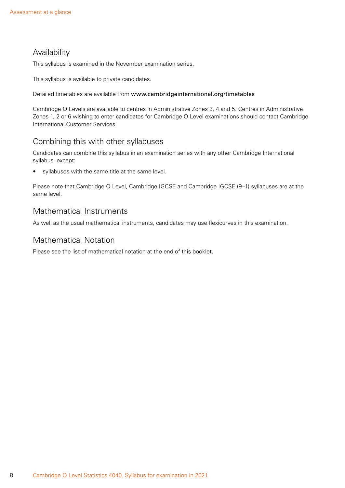### Availability

This syllabus is examined in the November examination series.

This syllabus is available to private candidates.

Detailed timetables are available from www.cambridgeinternational.org/timetables

Cambridge O Levels are available to centres in Administrative Zones 3, 4 and 5. Centres in Administrative Zones 1, 2 or 6 wishing to enter candidates for Cambridge O Level examinations should contact Cambridge International Customer Services.

#### Combining this with other syllabuses

Candidates can combine this syllabus in an examination series with any other Cambridge International syllabus, except:

• syllabuses with the same title at the same level.

Please note that Cambridge O Level, Cambridge IGCSE and Cambridge IGCSE (9–1) syllabuses are at the same level.

### Mathematical Instruments

As well as the usual mathematical instruments, candidates may use flexicurves in this examination.

### Mathematical Notation

Please see the list of mathematical notation at the end of this booklet.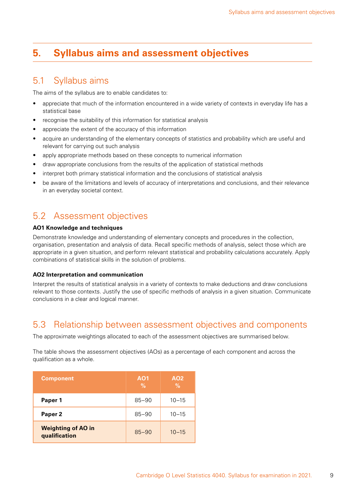# <span id="page-10-0"></span>**5. Syllabus aims and assessment objectives**

### 5.1 Syllabus aims

The aims of the syllabus are to enable candidates to:

- appreciate that much of the information encountered in a wide variety of contexts in everyday life has a statistical base
- recognise the suitability of this information for statistical analysis
- appreciate the extent of the accuracy of this information
- acquire an understanding of the elementary concepts of statistics and probability which are useful and relevant for carrying out such analysis
- apply appropriate methods based on these concepts to numerical information
- draw appropriate conclusions from the results of the application of statistical methods
- interpret both primary statistical information and the conclusions of statistical analysis
- be aware of the limitations and levels of accuracy of interpretations and conclusions, and their relevance in an everyday societal context.

# 5.2 Assessment objectives

#### **AO1 Knowledge and techniques**

Demonstrate knowledge and understanding of elementary concepts and procedures in the collection, organisation, presentation and analysis of data. Recall specific methods of analysis, select those which are appropriate in a given situation, and perform relevant statistical and probability calculations accurately. Apply combinations of statistical skills in the solution of problems.

#### **AO2 Interpretation and communication**

Interpret the results of statistical analysis in a variety of contexts to make deductions and draw conclusions relevant to those contexts. Justify the use of specific methods of analysis in a given situation. Communicate conclusions in a clear and logical manner.

### 5.3 Relationship between assessment objectives and components

The approximate weightings allocated to each of the assessment objectives are summarised below.

The table shows the assessment objectives (AOs) as a percentage of each component and across the qualification as a whole.

| <b>Component</b>                           | AO <sub>1</sub><br>$\%$ | A02<br>$\%$ |
|--------------------------------------------|-------------------------|-------------|
| Paper 1                                    | $85 - 90$               | $10 - 15$   |
| Paper <sub>2</sub>                         | $85 - 90$               | $10 - 15$   |
| <b>Weighting of AO in</b><br>qualification | $85 - 90$               | $10 - 15$   |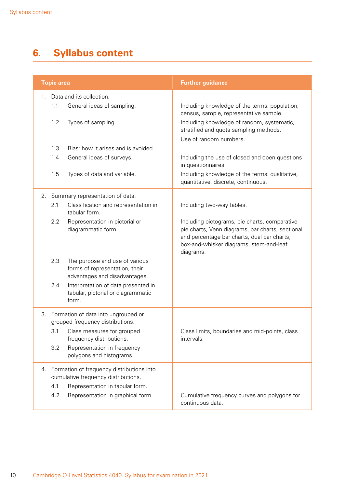# <span id="page-11-0"></span>**6. Syllabus content**

|    | <b>Topic area</b>                                                                   |                                                                                                   | <b>Further guidance</b>                                                                                                                                                                                  |
|----|-------------------------------------------------------------------------------------|---------------------------------------------------------------------------------------------------|----------------------------------------------------------------------------------------------------------------------------------------------------------------------------------------------------------|
| 1. | 1.1                                                                                 | Data and its collection.<br>General ideas of sampling.                                            | Including knowledge of the terms: population,<br>census, sample, representative sample.                                                                                                                  |
|    | 1.2                                                                                 | Types of sampling.                                                                                | Including knowledge of random, systematic,<br>stratified and quota sampling methods.<br>Use of random numbers.                                                                                           |
|    | 1.3                                                                                 | Bias: how it arises and is avoided.                                                               |                                                                                                                                                                                                          |
|    | 1.4                                                                                 | General ideas of surveys.                                                                         | Including the use of closed and open questions<br>in questionnaires.                                                                                                                                     |
|    | 1.5                                                                                 | Types of data and variable.                                                                       | Including knowledge of the terms: qualitative,<br>quantitative, discrete, continuous.                                                                                                                    |
|    |                                                                                     | 2. Summary representation of data.                                                                |                                                                                                                                                                                                          |
|    | 2.1                                                                                 | Classification and representation in<br>tabular form.                                             | Including two-way tables.                                                                                                                                                                                |
|    | 2.2                                                                                 | Representation in pictorial or<br>diagrammatic form.                                              | Including pictograms, pie charts, comparative<br>pie charts, Venn diagrams, bar charts, sectional<br>and percentage bar charts, dual bar charts,<br>box-and-whisker diagrams, stem-and-leaf<br>diagrams. |
|    | 2.3                                                                                 | The purpose and use of various<br>forms of representation, their<br>advantages and disadvantages. |                                                                                                                                                                                                          |
|    | 2.4                                                                                 | Interpretation of data presented in<br>tabular, pictorial or diagrammatic<br>form.                |                                                                                                                                                                                                          |
|    | 3. Formation of data into ungrouped or<br>grouped frequency distributions.          |                                                                                                   |                                                                                                                                                                                                          |
|    | 3.1                                                                                 | Class measures for grouped<br>frequency distributions.                                            | Class limits, boundaries and mid-points, class<br>intervals.                                                                                                                                             |
|    | 3.2                                                                                 | Representation in frequency<br>polygons and histograms.                                           |                                                                                                                                                                                                          |
|    | 4. Formation of frequency distributions into<br>cumulative frequency distributions. |                                                                                                   |                                                                                                                                                                                                          |
|    | 4.1                                                                                 | Representation in tabular form.                                                                   |                                                                                                                                                                                                          |
|    | 4.2                                                                                 | Representation in graphical form.                                                                 | Cumulative frequency curves and polygons for<br>continuous data.                                                                                                                                         |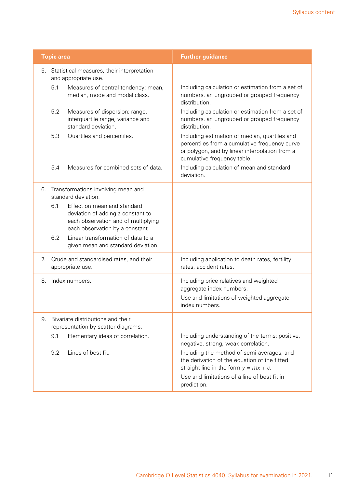| Including calculation or estimation from a set of<br>numbers, an ungrouped or grouped frequency                                                                                        |
|----------------------------------------------------------------------------------------------------------------------------------------------------------------------------------------|
| Including calculation or estimation from a set of<br>numbers, an ungrouped or grouped frequency                                                                                        |
| Including estimation of median, quartiles and<br>percentiles from a cumulative frequency curve<br>or polygon, and by linear interpolation from a<br>cumulative frequency table.        |
| Including calculation of mean and standard                                                                                                                                             |
|                                                                                                                                                                                        |
|                                                                                                                                                                                        |
|                                                                                                                                                                                        |
| Including application to death rates, fertility<br>rates, accident rates.                                                                                                              |
| Including price relatives and weighted<br>aggregate index numbers.<br>Use and limitations of weighted aggregate                                                                        |
| index numbers.                                                                                                                                                                         |
|                                                                                                                                                                                        |
| Including understanding of the terms: positive,<br>negative, strong, weak correlation.                                                                                                 |
| Including the method of semi-averages, and<br>the derivation of the equation of the fitted<br>straight line in the form $y = mx + c$ .<br>Use and limitations of a line of best fit in |
|                                                                                                                                                                                        |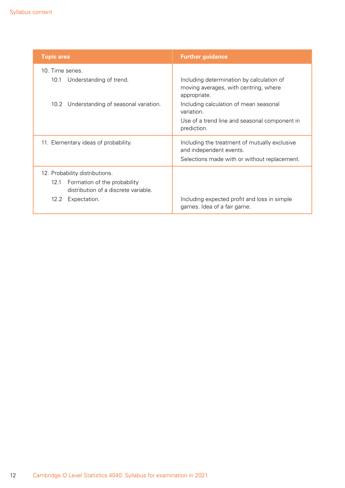| <b>Topic area</b>                                                         | <b>Further guidance</b>                                                                                                  |
|---------------------------------------------------------------------------|--------------------------------------------------------------------------------------------------------------------------|
| 10. Time series.                                                          |                                                                                                                          |
| Understanding of trend.<br>10.1                                           | Including determination by calculation of<br>moving averages, with centring, where<br>appropriate.                       |
| Understanding of seasonal variation.<br>10.2                              | Including calculation of mean seasonal<br>variation.                                                                     |
|                                                                           | Use of a trend line and seasonal component in<br>prediction.                                                             |
| 11. Elementary ideas of probability.                                      | Including the treatment of mutually exclusive<br>and independent events.<br>Selections made with or without replacement. |
| 12. Probability distributions.                                            |                                                                                                                          |
| 12.1 Formation of the probability<br>distribution of a discrete variable. |                                                                                                                          |
| 12.2 Expectation.                                                         | Including expected profit and loss in simple<br>games. Idea of a fair game.                                              |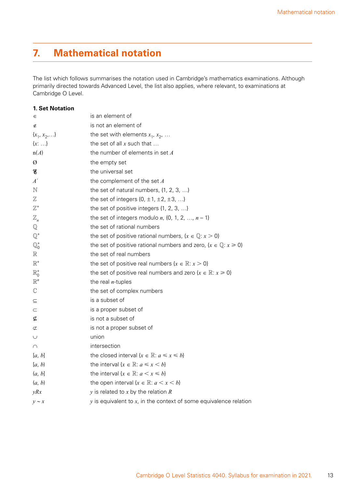# <span id="page-14-0"></span>**7. Mathematical notation**

The list which follows summarises the notation used in Cambridge's mathematics examinations. Although primarily directed towards Advanced Level, the list also applies, where relevant, to examinations at Cambridge O Level.

|  | <b>1. Set Notation</b> |
|--|------------------------|
|  |                        |

| ∈                | is an element of                                                                |
|------------------|---------------------------------------------------------------------------------|
| ∉                | is not an element of                                                            |
| $\{x_1, x_2, \}$ | the set with elements $x_1, x_2, $                                              |
| $\{x: \ldots\}$  | the set of all $x$ such that                                                    |
| n(A)             | the number of elements in set $A$                                               |
| Ø                | the empty set                                                                   |
| 8                | the universal set                                                               |
| A'               | the complement of the set $A$                                                   |
| N                | the set of natural numbers, $\{1, 2, 3, \ldots\}$                               |
| $\mathbb Z$      | the set of integers $\{0, \pm 1, \pm 2, \pm 3, \ldots\}$                        |
| $\mathbb{Z}^+$   | the set of positive integers {1, 2, 3, }                                        |
| $\mathbb{Z}_n$   | the set of integers modulo $n$ , {0, 1, 2, , $n-1$ }                            |
| $\mathbb Q$      | the set of rational numbers                                                     |
| $\mathbb{Q}^*$   | the set of positive rational numbers, $\{x \in \mathbb{Q} : x > 0\}$            |
| $\mathbb{Q}^+_0$ | the set of positive rational numbers and zero, $\{x \in \mathbb{Q} : x \ge 0\}$ |
| $\mathbb R$      | the set of real numbers                                                         |
| $\mathbb{R}^+$   | the set of positive real numbers $\{x \in \mathbb{R} : x > 0\}$                 |
| $\mathbb{R}^*_0$ | the set of positive real numbers and zero $\{x \in \mathbb{R} : x \ge 0\}$      |
| $\mathbb{R}^n$   | the real $n$ -tuples                                                            |
| $\mathbb{C}$     | the set of complex numbers                                                      |
| ⊆                | is a subset of                                                                  |
| $\subset$        | is a proper subset of                                                           |
| ⊈                | is not a subset of                                                              |
| ⊄                | is not a proper subset of                                                       |
| U                | union                                                                           |
| $\cap$           | intersection                                                                    |
| [a, b]           | the closed interval $\{x \in \mathbb{R} : a \leq x \leq b\}$                    |
| [a, b)           | the interval $\{x \in \mathbb{R} : a \leq x \leq b\}$                           |
| (a, b]           | the interval $\{x \in \mathbb{R} : a \leq x \leq b\}$                           |
| (a, b)           | the open interval $\{x \in \mathbb{R}: a \leq x \leq b\}$                       |
| yRx              | $y$ is related to $x$ by the relation $R$                                       |
| $y \sim x$       | $y$ is equivalent to $x$ , in the context of some equivalence relation          |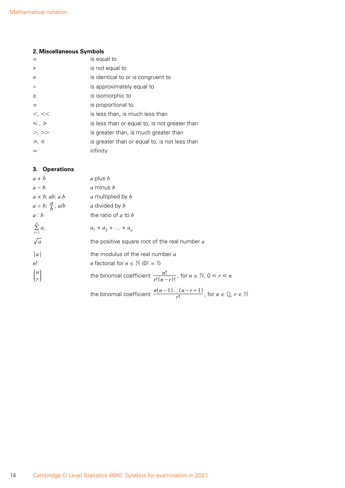#### **2. Miscellaneous Symbols**

|                 | is equal to                                   |
|-----------------|-----------------------------------------------|
| $\neq$          | is not equal to                               |
| $\equiv$        | is identical to or is congruent to            |
| $\approx$       | is approximately equal to                     |
| $\cong$         | is isomorphic to                              |
| $\infty$        | is proportional to                            |
| $\lt$ , $\lt$   | is less than, is much less than               |
| $\leq$ , $\geq$ | is less than or equal to, is not greater than |
| >, >            | is greater than, is much greater than         |
| $\geq, \leq$    | is greater than or equal to, is not less than |
| $\infty$        | infinity                                      |

#### **3. Operations**

| $a + b$                          | $a$ plus $b$                                                                                      |
|----------------------------------|---------------------------------------------------------------------------------------------------|
| $a - b$                          | a minus b                                                                                         |
| $a \times b$ ; ab; a.b           | a multiplied by b                                                                                 |
| $a \div b$ ; $\frac{a}{b}$ ; a/b | a divided by b                                                                                    |
| a:b                              | the ratio of $a$ to $b$                                                                           |
| $\sum_{i=1}^n a_i$               | $a_1 + a_2 + \ldots + a_n$                                                                        |
| $\sqrt{a}$                       | the positive square root of the real number a                                                     |
| a <br>n!                         | the modulus of the real number $a$<br><i>n</i> factorial for $n \in \mathbb{N}$ (0! = 1)          |
| $\binom{n}{r}$                   | the binomial coefficient $\frac{n!}{r!(n-r)!}$ , for $n \in \mathbb{N}$ , $0 \le r \le n$         |
|                                  | the binomial coefficient $\frac{n(n-1)(n-r+1)}{r!}$ , for $n \in \mathbb{Q}$ , $r \in \mathbb{N}$ |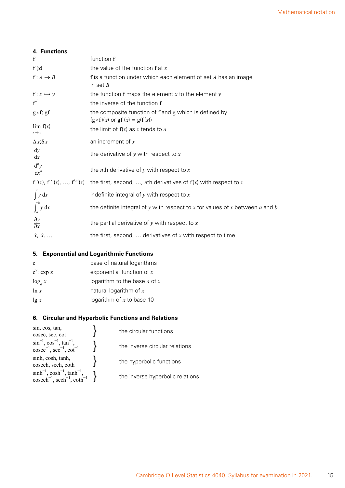| 4. Functions                            |                                                                                                 |
|-----------------------------------------|-------------------------------------------------------------------------------------------------|
| f                                       | function f                                                                                      |
| f(x)                                    | the value of the function $f$ at $x$                                                            |
| $f: A \rightarrow B$                    | f is a function under which each element of set $A$ has an image<br>in set $B$                  |
| $f: x \mapsto y$                        | the function f maps the element $x$ to the element $y$                                          |
| $f^{-1}$                                | the inverse of the function f                                                                   |
| $g \circ f$ ; gf                        | the composite function of f and g which is defined by<br>$(g \circ f)(x)$ or gf $(x) = g(f(x))$ |
| $\lim f(x)$<br>$x \rightarrow a$        | the limit of $f(x)$ as x tends to a                                                             |
| $\Delta x$ ; $\delta x$                 | an increment of $x$                                                                             |
| $\frac{dy}{dx}$                         | the derivative of $y$ with respect to $x$                                                       |
| $\frac{d^{n}y}{dx^{n}}$                 | the nth derivative of $y$ with respect to $x$                                                   |
| f '(x), f ''(x), , f <sup>(n)</sup> (x) | the first, second, , nth derivatives of $f(x)$ with respect to x                                |
| $\int y dx$                             | indefinite integral of $y$ with respect to $x$                                                  |
| $\int_a^b y \, dx$                      | the definite integral of $y$ with respect to $x$ for values of $x$ between $a$ and $b$          |
| $rac{\partial y}{\partial x}$           | the partial derivative of $y$ with respect to $x$                                               |
| $\dot{x}, \ddot{x}, \ldots$             | the first, second, $\ldots$ derivatives of x with respect to time                               |

#### **5. Exponential and Logarithmic Functions**

| e             | base of natural logarithms       |
|---------------|----------------------------------|
| $e^x$ ; exp x | exponential function of $x$      |
| $\log_a x$    | logarithm to the base $a$ of $x$ |
| ln x          | natural logarithm of $x$         |
| $\lg x$       | logarithm of $x$ to base 10      |
|               |                                  |

#### **6. Circular and Hyperbolic Functions and Relations**

| sin, cos, tan,                                                                                       | the circular functions           |
|------------------------------------------------------------------------------------------------------|----------------------------------|
| cosec, sec, cot                                                                                      |                                  |
| $\sin^{-1}$ , $\cos^{-1}$ , $\tan^{-1}$ ,<br>$\csc^{-1}$ , $\sec^{-1}$ , $\cot^{-1}$                 | the inverse circular relations   |
| sinh, cosh, tanh,<br>cosech, sech, coth                                                              | the hyperbolic functions         |
| $sinh^{-1}$ , $cosh^{-1}$ , $tanh^{-1}$ ,<br>$cosech^{-1}$ , sech <sup>-1</sup> , coth <sup>-1</sup> | the inverse hyperbolic relations |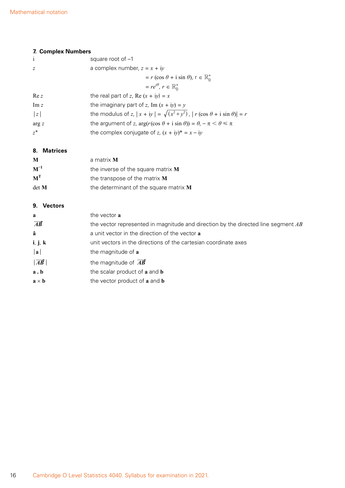#### **7. Complex Numbers**

| $\mathbf{i}$   | square root of $-1$                                                                          |
|----------------|----------------------------------------------------------------------------------------------|
| $\overline{z}$ | a complex number, $z = x + iy$                                                               |
|                | $r = r (\cos \theta + i \sin \theta), r \in \mathbb{R}^+$                                    |
|                | $= re^{i\theta}, r \in \mathbb{R}^+_0$                                                       |
| Re z           | the real part of z, Re $(x + iy) = x$                                                        |
| Im z           | the imaginary part of z, Im $(x + iy) = y$                                                   |
| z              | the modulus of z, $ x + iy  = \sqrt{(x^2 + y^2)}$ , $ r(\cos \theta + i \sin \theta)  = r$   |
| arg z          | the argument of z, $\arg(r(\cos \theta + i \sin \theta)) = \theta$ , $-\pi < \theta \le \pi$ |
| $z^*$          | the complex conjugate of z, $(x + iy)^* = x - iy$                                            |
|                |                                                                                              |

**8. Matrices**

| M        | a matrix <b>M</b>                        |
|----------|------------------------------------------|
| $M^{-1}$ | the inverse of the square matrix $M$     |
| $M^T$    | the transpose of the matrix $M$          |
| det M    | the determinant of the square matrix $M$ |

#### **9. Vectors**

| a<br>$\overrightarrow{AB}$     | the vector <b>a</b><br>the vector represented in magnitude and direction by the directed line segment AB |
|--------------------------------|----------------------------------------------------------------------------------------------------------|
| â                              | a unit vector in the direction of the vector <b>a</b>                                                    |
| i, j, k<br>$ {\bf a} $         | unit vectors in the directions of the cartesian coordinate axes<br>the magnitude of a                    |
| $\overrightarrow{AB}$          | the magnitude of $\overrightarrow{AB}$                                                                   |
| a.b                            | the scalar product of a and b                                                                            |
| $\mathbf{a} \times \mathbf{b}$ | the vector product of a and <b>b</b>                                                                     |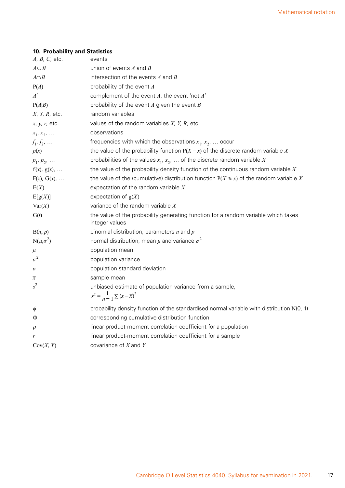#### **10. Probability and Statistics**

| $A, B, C,$ etc.        | events                                                                                                         |
|------------------------|----------------------------------------------------------------------------------------------------------------|
| $A \cup B$             | union of events $A$ and $B$                                                                                    |
| $A \cap B$             | intersection of the events $A$ and $B$                                                                         |
| P(A)                   | probability of the event A                                                                                     |
| $A^{\prime}$           | complement of the event $A$ , the event 'not $A$ '                                                             |
| P(A B)                 | probability of the event $A$ given the event $B$                                                               |
| $X$ , $Y$ , $R$ , etc. | random variables                                                                                               |
| $x, y, r$ , etc.       | values of the random variables $X$ , $Y$ , $R$ , etc.                                                          |
| $x_1, x_2, $           | observations                                                                                                   |
| $f_1, f_2, \ldots$     | frequencies with which the observations $x_1, x_2, $ occur                                                     |
| p(x)                   | the value of the probability function $P(X = x)$ of the discrete random variable X                             |
| $p_1, p_2, $           | probabilities of the values $x_1, x_2, \ldots$ of the discrete random variable X                               |
| $f(x)$ , $g(x)$ ,      | the value of the probability density function of the continuous random variable $X$                            |
| $F(x)$ , $G(x)$ ,      | the value of the (cumulative) distribution function $P(X \le x)$ of the random variable X                      |
| E(X)                   | expectation of the random variable $X$                                                                         |
| E[g(X)]                | expectation of $g(X)$                                                                                          |
| Var(X)                 | variance of the random variable $X$                                                                            |
| G(t)                   | the value of the probability generating function for a random variable which takes<br>integer values           |
| B(n, p)                | binomial distribution, parameters $n$ and $p$                                                                  |
| $N(\mu,\sigma^2)$      | normal distribution, mean $\mu$ and variance $\sigma^2$                                                        |
| $\mu$                  | population mean                                                                                                |
| $\sigma^2$             | population variance                                                                                            |
| $\sigma$               | population standard deviation                                                                                  |
| $\overline{x}$         | sample mean                                                                                                    |
| $s^2$                  | unbiased estimate of population variance from a sample,<br>$s^{2} = \frac{1}{n-1} \sum (x - \overline{x})^{2}$ |
| Φ                      | probability density function of the standardised normal variable with distribution N(0, 1)                     |
| Φ                      | corresponding cumulative distribution function                                                                 |
| $\rho$                 | linear product-moment correlation coefficient for a population                                                 |
| r                      | linear product-moment correlation coefficient for a sample                                                     |
| Cov(X, Y)              | covariance of $X$ and $Y$                                                                                      |
|                        |                                                                                                                |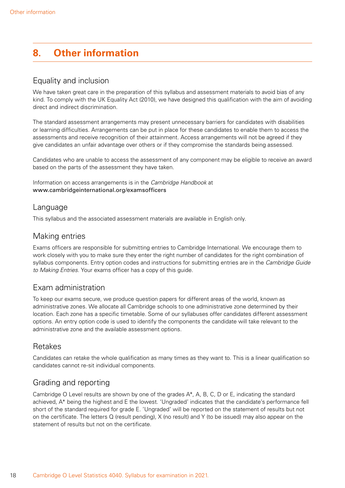# <span id="page-19-0"></span>**8. Other information**

#### Equality and inclusion

We have taken great care in the preparation of this syllabus and assessment materials to avoid bias of any kind. To comply with the UK Equality Act (2010), we have designed this qualification with the aim of avoiding direct and indirect discrimination.

The standard assessment arrangements may present unnecessary barriers for candidates with disabilities or learning difficulties. Arrangements can be put in place for these candidates to enable them to access the assessments and receive recognition of their attainment. Access arrangements will not be agreed if they give candidates an unfair advantage over others or if they compromise the standards being assessed.

Candidates who are unable to access the assessment of any component may be eligible to receive an award based on the parts of the assessment they have taken.

Information on access arrangements is in the *Cambridge Handbook* at www.cambridgeinternational.org/examsofficers

#### Language

This syllabus and the associated assessment materials are available in English only.

### Making entries

Exams officers are responsible for submitting entries to Cambridge International. We encourage them to work closely with you to make sure they enter the right number of candidates for the right combination of syllabus components. Entry option codes and instructions for submitting entries are in the *Cambridge Guide to Making Entries*. Your exams officer has a copy of this guide.

### Exam administration

To keep our exams secure, we produce question papers for different areas of the world, known as administrative zones. We allocate all Cambridge schools to one administrative zone determined by their location. Each zone has a specific timetable. Some of our syllabuses offer candidates different assessment options. An entry option code is used to identify the components the candidate will take relevant to the administrative zone and the available assessment options.

### Retakes

Candidates can retake the whole qualification as many times as they want to. This is a linear qualification so candidates cannot re-sit individual components.

### Grading and reporting

Cambridge O Level results are shown by one of the grades A\*, A, B, C, D or E, indicating the standard achieved, A\* being the highest and E the lowest. 'Ungraded' indicates that the candidate's performance fell short of the standard required for grade E. 'Ungraded' will be reported on the statement of results but not on the certificate. The letters Q (result pending), X (no result) and Y (to be issued) may also appear on the statement of results but not on the certificate.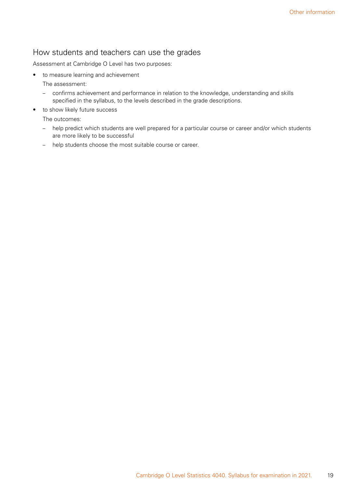### How students and teachers can use the grades

Assessment at Cambridge O Level has two purposes:

• to measure learning and achievement

The assessment:

- confirms achievement and performance in relation to the knowledge, understanding and skills specified in the syllabus, to the levels described in the grade descriptions.
- to show likely future success

The outcomes:

- help predict which students are well prepared for a particular course or career and/or which students are more likely to be successful
- help students choose the most suitable course or career.